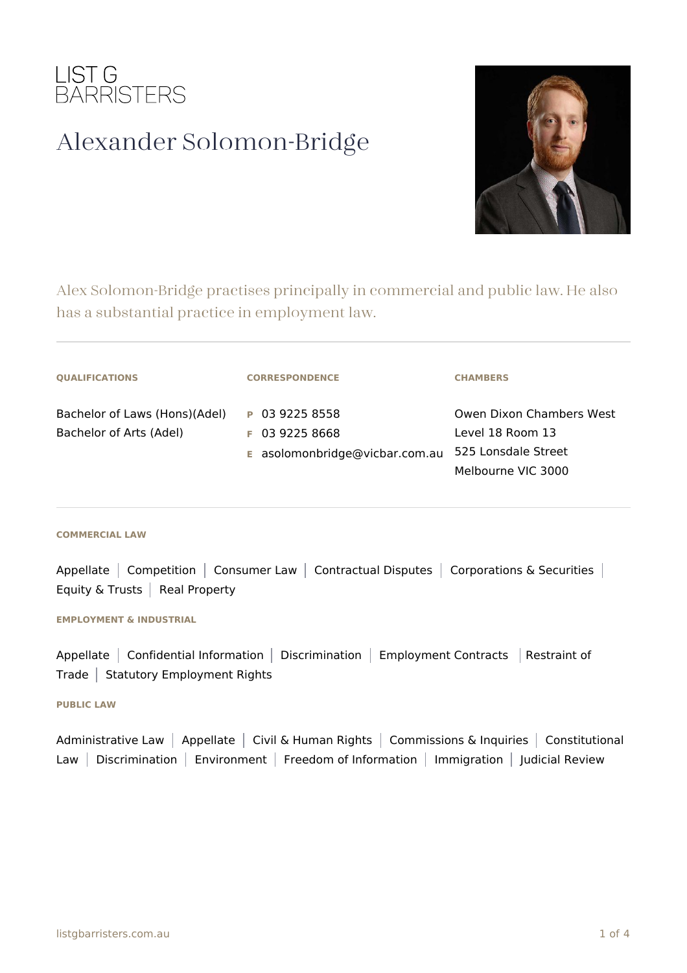

# Alexander Solomon-Bridge



Alex Solomon-Bridge practises principally in commercial and public law. He also has a substantial practice in employment law.

| <b>QUALIFICATIONS</b>                                    | <b>CORRESPONDENCE</b>                                                | <b>CHAMBERS</b>                                                                           |
|----------------------------------------------------------|----------------------------------------------------------------------|-------------------------------------------------------------------------------------------|
| Bachelor of Laws (Hons)(Adel)<br>Bachelor of Arts (Adel) | P 03 9225 8558<br>$F$ 03 9225 8668<br>E asolomonbridge@vicbar.com.au | Owen Dixon Chambers West<br>Level 18 Room 13<br>525 Lonsdale Street<br>Melbourne VIC 3000 |

#### **COMMERCIAL LAW**

Appellate | Competition | Consumer Law | Contractual Disputes | Corporations & Securities | Equity & Trusts  $\vert$  Real Property

### **EMPLOYMENT & INDUSTRIAL**

Appellate | Confidential Information | Discrimination | Employment Contracts | Restraint of Trade  $|$  Statutory Employment Rights

## **PUBLIC LAW**

Administrative Law | Appellate | Civil & Human Rights | Commissions & Inquiries | Constitutional Law | Discrimination | Environment | Freedom of Information | Immigration | Judicial Review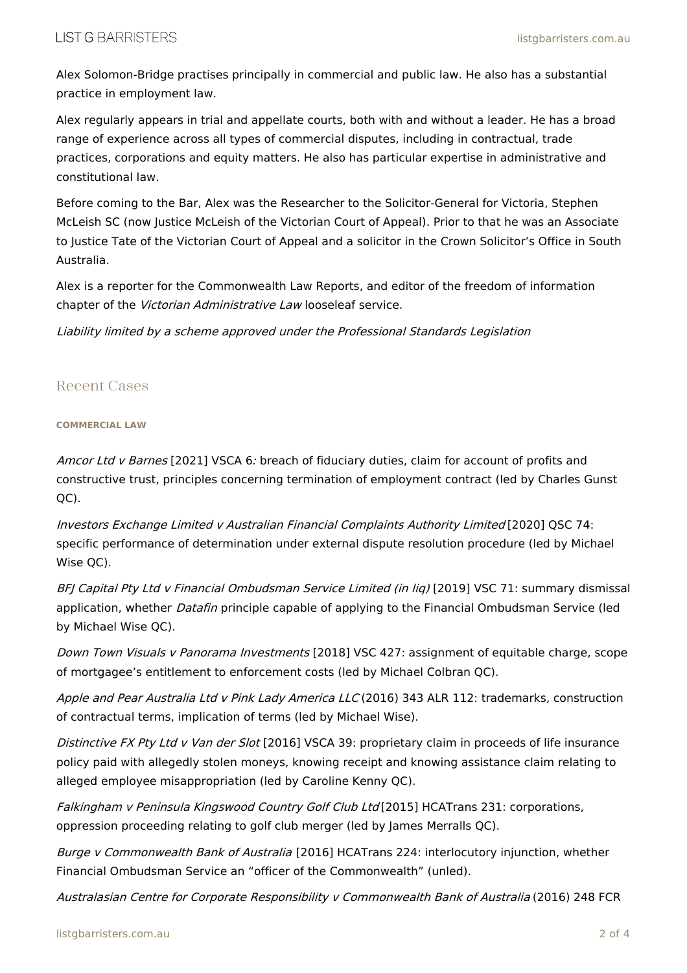Alex Solomon-Bridge practises principally in commercial and public law. He also has a substantial practice in employment law.

Alex regularly appears in trial and appellate courts, both with and without a leader. He has a broad range of experience across all types of commercial disputes, including in contractual, trade practices, corporations and equity matters. He also has particular expertise in administrative and constitutional law.

Before coming to the Bar, Alex was the Researcher to the Solicitor-General for Victoria, Stephen McLeish SC (now Justice McLeish of the Victorian Court of Appeal). Prior to that he was an Associate to Justice Tate of the Victorian Court of Appeal and a solicitor in the Crown Solicitor's Office in South Australia.

Alex is a reporter for the Commonwealth Law Reports, and editor of the freedom of information chapter of the Victorian Administrative Law looseleaf service.

Liability limited by <sup>a</sup> scheme approved under the Professional Standards Legislation

# Recent Cases

## **COMMERCIAL LAW**

Amcor Ltd v Barnes [2021] VSCA 6: breach of fiduciary duties, claim for account of profits and constructive trust, principles concerning termination of employment contract (led by Charles Gunst QC).

Investors Exchange Limited <sup>v</sup> Australian Financial Complaints Authority Limited [2020] QSC 74: specific performance of determination under external dispute resolution procedure (led by Michael Wise QC).

BFJ Capital Pty Ltd v Financial Ombudsman Service Limited (in liq) [2019] VSC 71: summary dismissal application, whether *Datafin* principle capable of applying to the Financial Ombudsman Service (led by Michael Wise QC).

Down Town Visuals v Panorama Investments [2018] VSC 427: assignment of equitable charge, scope of mortgagee's entitlement to enforcement costs (led by Michael Colbran QC).

Apple and Pear Australia Ltd v Pink Lady America LLC (2016) 343 ALR 112: trademarks, construction of contractual terms, implication of terms (led by Michael Wise).

Distinctive FX Pty Ltd v Van der Slot [2016] VSCA 39: proprietary claim in proceeds of life insurance policy paid with allegedly stolen moneys, knowing receipt and knowing assistance claim relating to alleged employee misappropriation (led by Caroline Kenny QC).

Falkingham <sup>v</sup> Peninsula Kingswood Country Golf Club Ltd [2015] HCATrans 231: corporations, oppression proceeding relating to golf club merger (led by James Merralls QC).

Burge v Commonwealth Bank of Australia [2016] HCATrans 224: interlocutory injunction, whether Financial Ombudsman Service an "officer of the Commonwealth" (unled).

Australasian Centre for Corporate Responsibility <sup>v</sup> Commonwealth Bank of Australia (2016) 248 FCR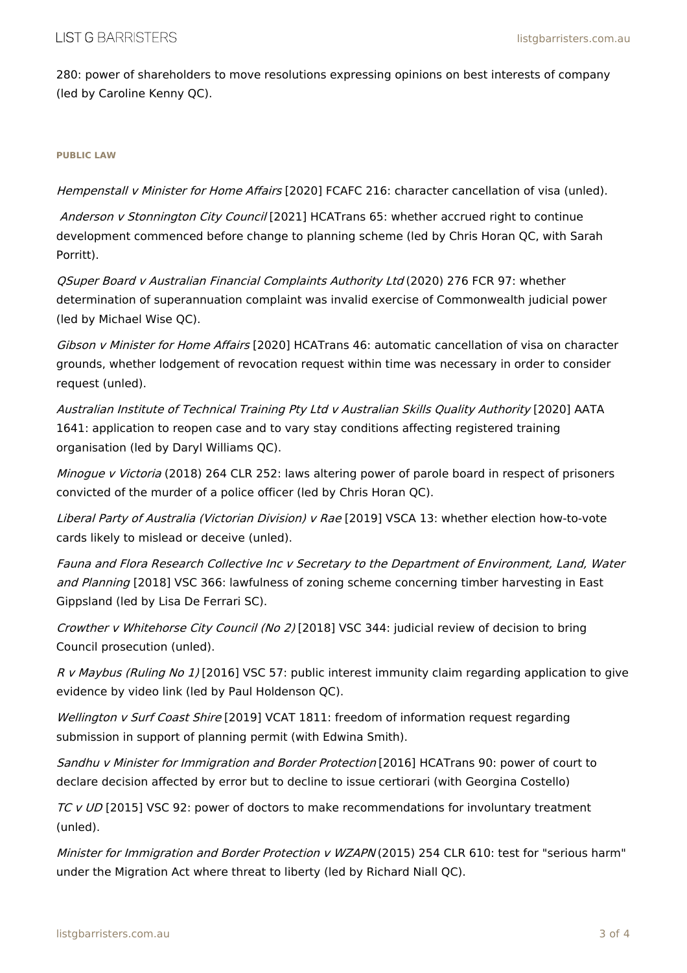280: power of shareholders to move resolutions expressing opinions on best interests of company (led by Caroline Kenny QC).

## **PUBLIC LAW**

Hempenstall v Minister for Home Affairs [2020] FCAFC 216: character cancellation of visa (unled).

Anderson v Stonnington City Council [2021] HCATrans 65: whether accrued right to continue development commenced before change to planning scheme (led by Chris Horan QC, with Sarah Porritt).

QSuper Board <sup>v</sup> Australian Financial Complaints Authority Ltd (2020) 276 FCR 97: whether determination of superannuation complaint was invalid exercise of Commonwealth judicial power (led by Michael Wise QC).

Gibson v Minister for Home Affairs [2020] HCATrans 46: automatic cancellation of visa on character grounds, whether lodgement of revocation request within time was necessary in order to consider request (unled).

Australian Institute of Technical Training Pty Ltd <sup>v</sup> Australian Skills Quality Authority [2020] AATA 1641: application to reopen case and to vary stay conditions affecting registered training organisation (led by Daryl Williams QC).

Minogue v Victoria (2018) 264 CLR 252: laws altering power of parole board in respect of prisoners convicted of the murder of a police officer (led by Chris Horan QC).

Liberal Party of Australia (Victorian Division) v Rae [2019] VSCA 13: whether election how-to-vote cards likely to mislead or deceive (unled).

Fauna and Flora Research Collective Inc <sup>v</sup> Secretary to the Department of Environment, Land, Water and Planning [2018] VSC 366: lawfulness of zoning scheme concerning timber harvesting in East Gippsland (led by Lisa De Ferrari SC).

Crowther v Whitehorse City Council (No 2) [2018] VSC 344: judicial review of decision to bring Council prosecution (unled).

R v Maybus (Ruling No 1) [2016] VSC 57: public interest immunity claim regarding application to give evidence by video link (led by Paul Holdenson QC).

Wellington v Surf Coast Shire [2019] VCAT 1811: freedom of information request regarding submission in support of planning permit (with Edwina Smith).

Sandhu <sup>v</sup> Minister for Immigration and Border Protection [2016] HCATrans 90: power of court to declare decision affected by error but to decline to issue certiorari (with Georgina Costello)

TC v UD [2015] VSC 92: power of doctors to make recommendations for involuntary treatment (unled).

Minister for Immigration and Border Protection v WZAPN (2015) 254 CLR 610: test for "serious harm" under the Migration Act where threat to liberty (led by Richard Niall QC).